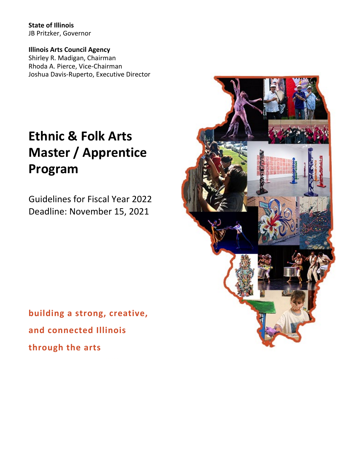**State of Illinois** JB Pritzker, Governor

**Illinois Arts Council Agency** Shirley R. Madigan, Chairman Rhoda A. Pierce, Vice-Chairman Joshua Davis-Ruperto, Executive Director

# **Ethnic & Folk Arts Master / Apprentice Program**

Guidelines for Fiscal Year 2022 Deadline: November 15, 2021

**building a strong, creative, and connected Illinois through the arts**

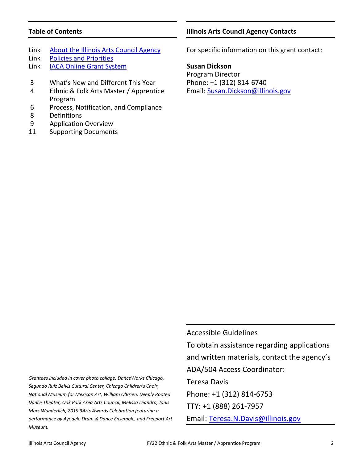# **Table of Contents**

- Link [About the Illinois Arts Council Agency](http://www.arts.illinois.gov/about-iaca)
- Link [Policies and Priorities](http://www.arts.illinois.gov/grants-programs/funding-programs/policies-priorities)
- Link [IACA Online Grant System](https://arts-illinois.force.com/)
- 3 What's New and Different This Year
- 4 Ethnic & Folk Arts Master / Apprentice Program
- 6 Process, Notification, and Compliance
- 8 Definitions
- 9 Application Overview
- 11 Supporting Documents

# **Illinois Arts Council Agency Contacts**

For specific information on this grant contact:

**Susan Dickson** Program Director Phone: +1 (312) 814-6740 Email: [Susan.Dickson@illinois.gov](mailto:Susan.Dickson@illinois.gov)

*Grantees included in cover photo collage: DanceWorks Chicago, Segundo Ruiz Belvis Cultural Center, Chicago Children's Choir, National Museum for Mexican Art, William O'Brien, Deeply Rooted Dance Theater, Oak Park Area Arts Council, Melissa Leandro, Janis Mars Wunderlich, 2019 3Arts Awards Celebration featuring a performance by Ayodele Drum & Dance Ensemble, and Freeport Art Museum.*

Accessible Guidelines

To obtain assistance regarding applications and written materials, contact the agency's ADA/504 Access Coordinator: Teresa Davis Phone: +1 (312) 814-6753 TTY: +1 (888) 261-7957

Email: [Teresa.N.Davis@illinois.gov](mailto:teresa.n.davis@illinois.gov)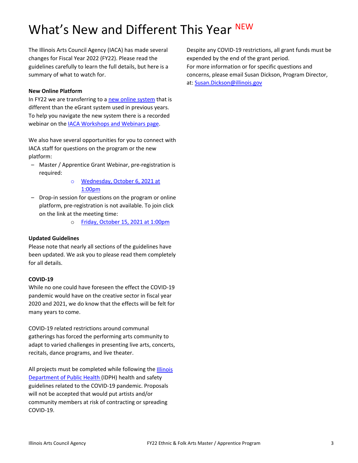# What's New and Different This Year NEW

The Illinois Arts Council Agency (IACA) has made several changes for Fiscal Year 2022 (FY22). Please read the guidelines carefully to learn the full details, but here is a summary of what to watch for.

#### **New Online Platform**

In FY22 we are transferring to [a new online system](https://arts-illinois.force.com/) that is different than the eGrant system used in previous years. To help you navigate the new system there is a recorded webinar on the [IACA Workshops and Webinars page.](https://arts.illinois.gov/Workshops%20%26%20Webinars)

We also have several opportunities for you to connect with IACA staff for questions on the program or the new platform:

- Master / Apprentice Grant Webinar, pre-registration is required:
	- o [Wednesday, October 6, 2021 at](https://illinois.webex.com/illinois/onstage/g.php?MTID=ef00495e8b5e6c1647ebb2ae1fcc66be8)  [1:00pm](https://illinois.webex.com/illinois/onstage/g.php?MTID=ef00495e8b5e6c1647ebb2ae1fcc66be8)
- Drop-in session for questions on the program or online platform, pre-registration is not available. To join click on the link at the meeting time:
	- o [Friday, October 15, 2021 at 1:00pm](https://illinois.webex.com/illinois/j.php?MTID=m2288f3b97130f78c60bd352c964465a2)

# **Updated Guidelines**

Please note that nearly all sections of the guidelines have been updated. We ask you to please read them completely for all details.

#### **COVID-19**

While no one could have foreseen the effect the COVID-19 pandemic would have on the creative sector in fiscal year 2020 and 2021, we do know that the effects will be felt for many years to come.

COVID-19 related restrictions around communal gatherings has forced the performing arts community to adapt to varied challenges in presenting live arts, concerts, recitals, dance programs, and live theater.

All projects must be completed while following the **Illinois** [Department of Public Health](https://www.dph.illinois.gov/covid19) (IDPH) health and safety guidelines related to the COVID-19 pandemic. Proposals will not be accepted that would put artists and/or community members at risk of contracting or spreading COVID-19.

Despite any COVID-19 restrictions, all grant funds must be expended by the end of the grant period. For more information or for specific questions and concerns, please email Susan Dickson, Program Director, at: [Susan.Dickson@illinois.gov](mailto:Susan.Dickson@illinois.gov)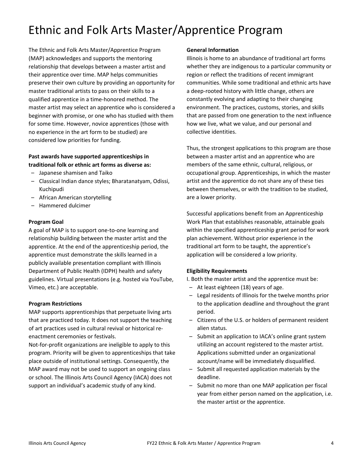# Ethnic and Folk Arts Master/Apprentice Program

The Ethnic and Folk Arts Master/Apprentice Program (MAP) acknowledges and supports the mentoring relationship that develops between a master artist and their apprentice over time. MAP helps communities preserve their own culture by providing an opportunity for master traditional artists to pass on their skills to a qualified apprentice in a time-honored method. The master artist may select an apprentice who is considered a beginner with promise, or one who has studied with them for some time. However, novice apprentices (those with no experience in the art form to be studied) are considered low priorities for funding.

# **Past awards have supported apprenticeships in traditional folk or ethnic art forms as diverse as:**

- Japanese shamisen and Taiko
- Classical Indian dance styles; [Bharatanatyam,](https://www.google.com/search?q=Bharatanatyam,+Odissi,+Kuchipudi&spell=1&sa=X&ved=0ahUKEwiijoPPyvbbAhWvuVkKHfH4AJsQkeECCCYoAA) Odissi, Kuchipudi
- African American storytelling
- Hammered dulcimer

# **Program Goal**

A goal of MAP is to support one-to-one learning and relationship building between the master artist and the apprentice. At the end of the apprenticeship period, the apprentice must demonstrate the skills learned in a publicly available presentation compliant with Illinois Department of Public Health (IDPH) health and safety guidelines. Virtual presentations (e.g. hosted via YouTube, Vimeo, etc.) are acceptable.

# **Program Restrictions**

MAP supports apprenticeships that perpetuate living arts that are practiced today. It does not support the teaching of art practices used in cultural revival or historical reenactment ceremonies or festivals.

Not-for-profit organizations are ineligible to apply to this program. Priority will be given to apprenticeships that take place outside of institutional settings. Consequently, the MAP award may not be used to support an ongoing class or school. The Illinois Arts Council Agency (IACA) does not support an individual's academic study of any kind.

#### **General Information**

Illinois is home to an abundance of traditional art forms whether they are indigenous to a particular community or region or reflect the traditions of recent immigrant communities. While some traditional and ethnic arts have a deep-rooted history with little change, others are constantly evolving and adapting to their changing environment. The practices, customs, stories, and skills that are passed from one generation to the next influence how we live, what we value, and our personal and collective identities.

Thus, the strongest applications to this program are those between a master artist and an apprentice who are members of the same ethnic, cultural, religious, or occupational group. Apprenticeships, in which the master artist and the apprentice do not share any of these ties between themselves, or with the tradition to be studied, are a lower priority.

Successful applications benefit from an Apprenticeship Work Plan that establishes reasonable, attainable goals within the specified apprenticeship grant period for work plan achievement. Without prior experience in the traditional art form to be taught, the apprentice's application will be considered a low priority.

# **Eligibility Requirements**

I. Both the master artist and the apprentice must be:

- At least eighteen (18) years of age.
- Legal residents of Illinois for the twelve months prior to the application deadline and throughout the grant period.
- Citizens of the U.S. or holders of permanent resident alien status.
- Submit an application to IACA's online grant system utilizing an account registered to the master artist. Applications submitted under an organizational account/name will be immediately disqualified.
- Submit all requested application materials by the deadline.
- Submit no more than one MAP application per fiscal year from either person named on the application, i.e. the master artist or the apprentice.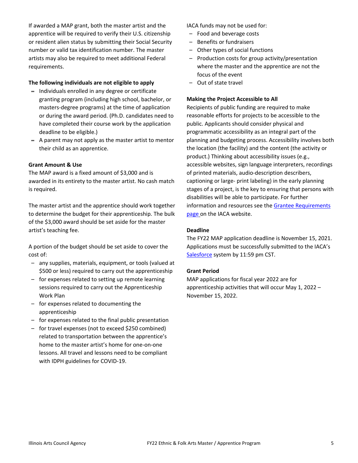If awarded a MAP grant, both the master artist and the apprentice will be required to verify their U.S. citizenship or resident alien status by submitting their Social Security number or valid tax identification number. The master artists may also be required to meet additional Federal requirements.

#### **The following individuals are not eligible to apply**

- Individuals enrolled in any degree or certificate granting program (including high school, bachelor, or masters-degree programs) at the time of application or during the award period. (Ph.D. candidates need to have completed their course work by the application deadline to be eligible.)
- A parent may not apply as the master artist to mentor their child as an apprentice.

#### **Grant Amount & Use**

The MAP award is a fixed amount of \$3,000 and is awarded in its entirety to the master artist. No cash match is required.

The master artist and the apprentice should work together to determine the budget for their apprenticeship. The bulk of the \$3,000 award should be set aside for the master artist's teaching fee.

A portion of the budget should be set aside to cover the cost of:

- any supplies, materials, equipment, or tools (valued at \$500 or less) required to carry out the apprenticeship
- for expenses related to setting up remote learning sessions required to carry out the Apprenticeship Work Plan
- for expenses related to documenting the apprenticeship
- for expenses related to the final public presentation
- for travel expenses (not to exceed \$250 combined) related to transportation between the apprentice's home to the master artist's home for one-on-one lessons. All travel and lessons need to be compliant with IDPH guidelines for COVID-19.

IACA funds may not be used for:

- Food and beverage costs
- Benefits or fundraisers
- Other types of social functions
- Production costs for group activity/presentation where the master and the apprentice are not the focus of the event
- Out of state travel

#### **Making the Project Accessible to All**

Recipients of public funding are required to make reasonable efforts for projects to be accessible to the public. Applicants should consider physical and programmatic accessibility as an integral part of the planning and budgeting process. Accessibility involves both the location (the facility) and the content (the activity or product.) Thinking about accessibility issues (e.g., accessible websites, sign language interpreters, recordings of printed materials, audio-description describers, captioning or large- print labeling) in the early planning stages of a project, is the key to ensuring that persons with disabilities will be able to participate. For further information and resources see the Grantee Requirements [page](http://www.arts.illinois.gov/grantee-requirements) on the IACA website.

#### **Deadline**

The FY22 MAP application deadline is November 15, 2021. Applications must be successfully submitted to the IACA's [Salesforce](https://arts-illinois.force.com/s/) system by 11:59 pm CST.

#### **Grant Period**

MAP applications for fiscal year 2022 are for apprenticeship activities that will occur May 1, 2022 – November 15, 2022.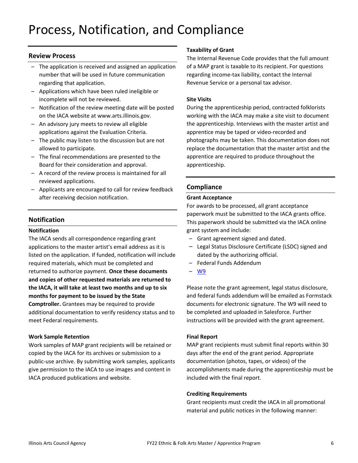# Process, Notification, and Compliance

# **Review Process**

- The application is received and assigned an application number that will be used in future communication regarding that application.
- Applications which have been ruled ineligible or incomplete will not be reviewed.
- Notification of the review meeting date will be posted on the IACA website at www.arts.illinois.gov.
- An advisory jury meets to review all eligible applications against the Evaluation Criteria.
- The public may listen to the discussion but are not allowed to participate.
- The final recommendations are presented to the Board for their consideration and approval.
- A record of the review process is maintained for all reviewed applications.
- Applicants are encouraged to call for review feedback after receiving decision notification.

#### **Notification**

#### **Notification**

The IACA sends all correspondence regarding grant applications to the master artist's email address as it is listed on the application. If funded, notification will include required materials, which must be completed and returned to authorize payment. **Once these documents and copies of other requested materials are returned to the IACA, it will take at least two months and up to six months for payment to be issued by the State Comptroller.** Grantees may be required to provide additional documentation to verify residency status and to meet Federal requirements.

#### **Work Sample Retention**

Work samples of MAP grant recipients will be retained or copied by the IACA for its archives or submission to a public-use archive. By submitting work samples, applicants give permission to the IACA to use images and content in IACA produced publications and website.

#### **Taxability of Grant**

The Internal Revenue Code provides that the full amount of a MAP grant is taxable to its recipient. For questions regarding income-tax liability, contact the Internal Revenue Service or a personal tax advisor.

#### **Site Visits**

During the apprenticeship period, contracted folklorists working with the IACA may make a site visit to document the apprenticeship. Interviews with the master artist and apprentice may be taped or video-recorded and photographs may be taken. This documentation does not replace the documentation that the master artist and the apprentice are required to produce throughout the apprenticeship.

# **Compliance**

#### **Grant Acceptance**

For awards to be processed, all grant acceptance paperwork must be submitted to the IACA grants office. This paperwork should be submitted via the IACA online grant system and include:

- Grant agreement signed and dated.
- Legal Status Disclosure Certificate (LSDC) signed and dated by the authorizing official.
- Federal Funds Addendum
- [W9](https://www.irs.gov/pub/irs-pdf/fw9.pdf)

Please note the grant agreement, legal status disclosure, and federal funds addendum will be emailed as Formstack documents for electronic signature. The W9 will need to be completed and uploaded in Salesforce. Further instructions will be provided with the grant agreement.

#### **Final Report**

MAP grant recipients must submit final reports within 30 days after the end of the grant period. Appropriate documentation (photos, tapes, or videos) of the accomplishments made during the apprenticeship must be included with the final report.

#### **Crediting Requirements**

Grant recipients must credit the IACA in all promotional material and public notices in the following manner: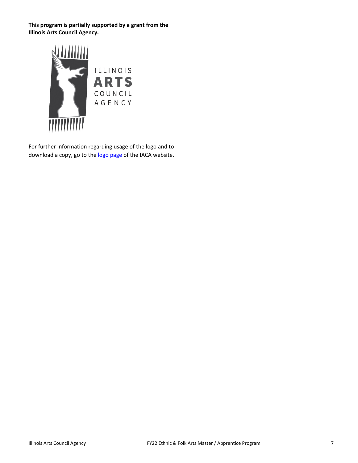**This program is partially supported by a grant from the Illinois Arts Council Agency.**



For further information regarding usage of the logo and to download a copy, go to th[e logo page](http://www.arts.illinois.gov/IACLogo) of the IACA website.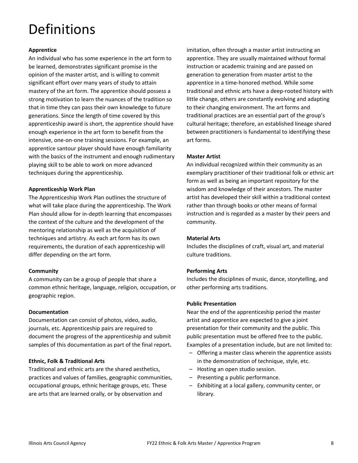# Definitions

# **Apprentice**

An individual who has some experience in the art form to be learned, demonstrates significant promise in the opinion of the master artist, and is willing to commit significant effort over many years of study to attain mastery of the art form. The apprentice should possess a strong motivation to learn the nuances of the tradition so that in time they can pass their own knowledge to future generations. Since the length of time covered by this apprenticeship award is short, the apprentice should have enough experience in the art form to benefit from the intensive, one-on-one training sessions. For example, an apprentice santour player should have enough familiarity with the basics of the instrument and enough rudimentary playing skill to be able to work on more advanced techniques during the apprenticeship.

#### **Apprenticeship Work Plan**

The Apprenticeship Work Plan outlines the structure of what will take place during the apprenticeship. The Work Plan should allow for in-depth learning that encompasses the context of the culture and the development of the mentoring relationship as well as the acquisition of techniques and artistry. As each art form has its own requirements, the duration of each apprenticeship will differ depending on the art form.

# **Community**

A community can be a group of people that share a common ethnic heritage, language, religion, occupation, or geographic region.

# **Documentation**

Documentation can consist of photos, video, audio, journals, etc. Apprenticeship pairs are required to document the progress of the apprenticeship and submit samples of this documentation as part of the final report**.**

# **Ethnic, Folk & Traditional Arts**

Traditional and ethnic arts are the shared aesthetics, practices and values of families, geographic communities, occupational groups, ethnic heritage groups, etc. These are arts that are learned orally, or by observation and

imitation, often through a master artist instructing an apprentice. They are usually maintained without formal instruction or academic training and are passed on generation to generation from master artist to the apprentice in a time-honored method. While some traditional and ethnic arts have a deep-rooted history with little change, others are constantly evolving and adapting to their changing environment. The art forms and traditional practices are an essential part of the group's cultural heritage; therefore, an established lineage shared between practitioners is fundamental to identifying these art forms.

# **Master Artist**

An individual recognized within their community as an exemplary practitioner of their traditional folk or ethnic art form as well as being an important repository for the wisdom and knowledge of their ancestors. The master artist has developed their skill within a traditional context rather than through books or other means of formal instruction and is regarded as a master by their peers and community.

# **Material Arts**

Includes the disciplines of craft, visual art, and material culture traditions.

# **Performing Arts**

Includes the disciplines of music, dance, storytelling, and other performing arts traditions.

# **Public Presentation**

Near the end of the apprenticeship period the master artist and apprentice are expected to give a joint presentation for their community and the public. This public presentation must be offered free to the public. Examples of a presentation include, but are not limited to:

- Offering a master class wherein the apprentice assists in the demonstration of technique, style, etc.
- Hosting an open studio session.
- Presenting a public performance.
- Exhibiting at a local gallery, community center, or library.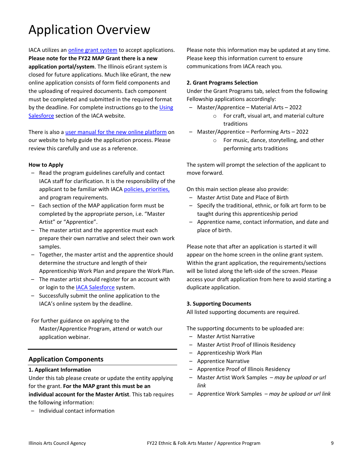# Application Overview

IACA utilizes an [online grant system](https://arts-illinois.force.com/) to accept applications. **Please note for the FY22 MAP Grant there is a new application portal/system**. The Illinois eGrant system is closed for future applications. Much like eGrant, the new online application consists of form field components and the uploading of required documents. Each component must be completed and submitted in the required format by the deadline. For complete instructions go to th[e Using](https://arts.illinois.gov/using-salesforce)  [Salesforce](https://arts.illinois.gov/using-salesforce) section of the IACA website.

There is also a [user manual for the new online platform](https://arts.illinois.gov/sites/default/files/content/IACA%20Applicant%20User%20Manual.pdf) on our website to help guide the application process. Please review this carefully and use as a reference.

#### **How to Apply**

- Read the program guidelines carefully and contact IACA staff for clarification. It is the responsibility of the applicant to be familiar with IACA [policies, priorities,](http://www.arts.illinois.gov/grants-programs/funding-programs/policies-priorities) and program requirements.
- Each section of the MAP application form must be completed by the appropriate person, i.e. "Master Artist" or "Apprentice".
- The master artist and the apprentice must each prepare their own narrative and select their own work samples.
- Together, the master artist and the apprentice should determine the structure and length of their Apprenticeship Work Plan and prepare the Work Plan.
- The master artist should register for an account with or login to the [IACA Salesforce](https://arts-illinois.force.com/s/) system.
- Successfully submit the online application to the IACA's online system by the deadline.
- For further guidance on applying to the Master/Apprentice Program, attend or watch our application webinar.

# **Application Components**

#### **1. Applicant Information**

Under this tab please create or update the entity applying for the grant. **For the MAP grant this must be an individual account for the Master Artist**. This tab requires

the following information:

– Individual contact information

Please note this information may be updated at any time. Please keep this information current to ensure communications from IACA reach you.

#### **2. Grant Programs Selection**

Under the Grant Programs tab, select from the following Fellowship applications accordingly:

- Master/Apprentice Material Arts 2022
	- o For craft, visual art, and material culture traditions
- Master/Apprentice Performing Arts 2022
	- o For music, dance, storytelling, and other performing arts traditions

The system will prompt the selection of the applicant to move forward.

On this main section please also provide:

- Master Artist Date and Place of Birth
- Specify the traditional, ethnic, or folk art form to be taught during this apprenticeship period
- Apprentice name, contact information, and date and place of birth.

Please note that after an application is started it will appear on the home screen in the online grant system. Within the grant application, the requirements/sections will be listed along the left-side of the screen. Please access your draft application from here to avoid starting a duplicate application.

#### **3. Supporting Documents**

All listed supporting documents are required.

The supporting documents to be uploaded are:

- Master Artist Narrative
- Master Artist Proof of Illinois Residency
- Apprenticeship Work Plan
- Apprentice Narrative
- Apprentice Proof of Illinois Residency
- Master Artist Work Samples *may be upload or url link*
- Apprentice Work Samples *may be upload or url link*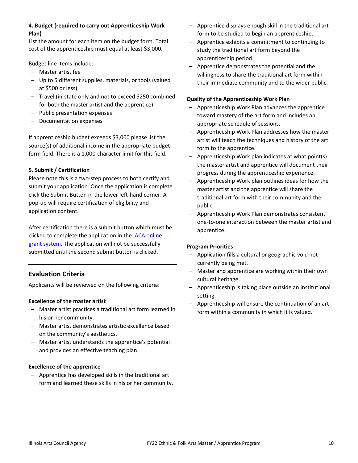# **4. Budget (required to carry out Apprenticeship Work Plan)**

List the amount for each item on the budget form. Total cost of the apprenticeship must equal at least \$3,000.

Budget line items include:

- Master artist fee
- Up to 5 different supplies, materials, or tools (valued at \$500 or less)
- Travel (in-state only and not to exceed \$250 combined for both the master artist and the apprentice)
- Public presentation expenses
- Documentation expenses

If apprenticeship budget exceeds \$3,000 please list the source(s) of additional income in the appropriate budget form field. There is a 1,000-character limit for this field.

#### **5. Submit / Certification**

Please note this is a two-step process to both certify and submit your application. Once the application is complete click the Submit Button in the lower left-hand corner. A pop-up will require certification of eligibility and application content.

After certification there is a submit button which must be clicked to complete the application in the [IACA online](https://arts-illinois.force.com/)  [grant system.](https://arts-illinois.force.com/) The application will not be successfully submitted until the second submit button is clicked.

# **Evaluation Criteria**

Applicants will be reviewed on the following criteria:

#### **Excellence of the master artist**

- Master artist practices a traditional art form learned in his or her community.
- Master artist demonstrates artistic excellence based on the community's aesthetics.
- Master artist understands the apprentice's potential and provides an effective teaching plan.

#### **Excellence of the apprentice**

– Apprentice has developed skills in the traditional art form and learned these skills in his or her community.

- Apprentice displays enough skill in the traditional art form to be studied to begin an apprenticeship.
- Apprentice exhibits a commitment to continuing to study the traditional art form beyond the apprenticeship period.
- Apprentice demonstrates the potential and the willingness to share the traditional art form within their immediate community and to the wider public.

#### **Quality of the Apprenticeship Work Plan**

- Apprenticeship Work Plan advances the apprentice toward mastery of the art form and includes an appropriate schedule of sessions.
- Apprenticeship Work Plan addresses how the master artist will teach the techniques and history of the art form to the apprentice.
- Apprenticeship Work plan indicates at what point(s) the master artist and apprentice will document their progress during the apprenticeship experience.
- Apprenticeship Work plan outlines ideas for how the master artist and the apprentice will share the traditional art form with their community and the public.
- Apprenticeship Work Plan demonstrates consistent one-to-one interaction between the master artist and apprentice.

#### **Program Priorities**

- Application fills a cultural or geographic void not currently being met.
- Master and apprentice are working within their own cultural heritage.
- Apprenticeship is taking place outside an institutional setting.
- Apprenticeship will ensure the continuation of an art form within a community in which it is valued.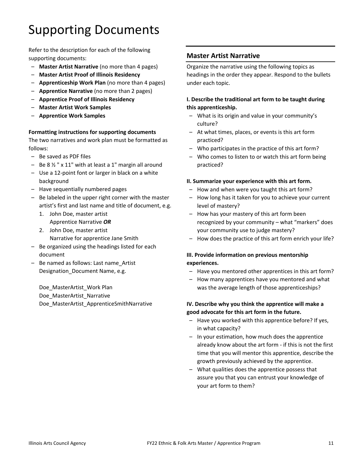# Supporting Documents

Refer to the description for each of the following supporting documents:

- **Master Artist Narrative** (no more than 4 pages)
- **Master Artist Proof of Illinois Residency**
- **Apprenticeship Work Plan** (no more than 4 pages)
- **Apprentice Narrative** (no more than 2 pages)
- **Apprentice Proof of Illinois Residency**
- **Master Artist Work Samples**
- **Apprentice Work Samples**

# **Formatting instructions for supporting documents**

The two narratives and work plan must be formatted as follows:

- Be saved as PDF files
- $-$  Be 8  $\frac{1}{2}$  " x 11" with at least a 1" margin all around
- Use a 12-point font or larger in black on a white background
- Have sequentially numbered pages
- Be labeled in the upper right corner with the master artist's first and last name and title of document, e.g.
	- 1. John Doe, master artist Apprentice Narrative *OR*
	- 2. John Doe, master artist Narrative for apprentice Jane Smith
- Be organized using the headings listed for each document
- Be named as follows: Last name\_Artist Designation Document Name, e.g.

Doe\_MasterArtist\_Work Plan Doe MasterArtist Narrative Doe\_MasterArtist\_ApprenticeSmithNarrative

# **Master Artist Narrative**

Organize the narrative using the following topics as headings in the order they appear. Respond to the bullets under each topic.

# **I. Describe the traditional art form to be taught during this apprenticeship.**

- What is its origin and value in your community's culture?
- At what times, places, or events is this art form practiced?
- Who participates in the practice of this art form?
- Who comes to listen to or watch this art form being practiced?

# **II. Summarize your experience with this art form.**

- How and when were you taught this art form?
- How long has it taken for you to achieve your current level of mastery?
- How has your mastery of this art form been recognized by your community – what "markers" does your community use to judge mastery?
- How does the practice of this art form enrich your life?

# **III. Provide information on previous mentorship experiences.**

- Have you mentored other apprentices in this art form?
- How many apprentices have you mentored and what was the average length of those apprenticeships?

# **IV. Describe why you think the apprentice will make a good advocate for this art form in the future.**

- Have you worked with this apprentice before? If yes, in what capacity?
- In your estimation, how much does the apprentice already know about the art form - if this is not the first time that you will mentor this apprentice, describe the growth previously achieved by the apprentice.
- What qualities does the apprentice possess that assure you that you can entrust your knowledge of your art form to them?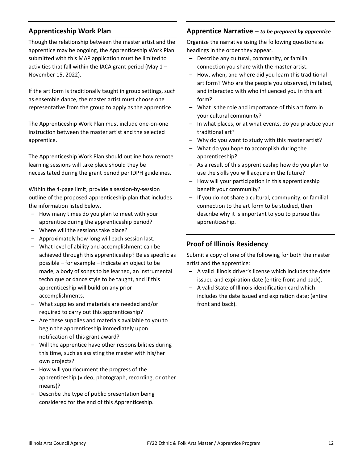# **Apprenticeship Work Plan**

Though the relationship between the master artist and the apprentice may be ongoing, the Apprenticeship Work Plan submitted with this MAP application must be limited to activities that fall within the IACA grant period (May  $1 -$ November 15, 2022).

If the art form is traditionally taught in group settings, such as ensemble dance, the master artist must choose one representative from the group to apply as the apprentice.

The Apprenticeship Work Plan must include one-on-one instruction between the master artist and the selected apprentice.

The Apprenticeship Work Plan should outline how remote learning sessions will take place should they be necessitated during the grant period per IDPH guidelines.

Within the 4-page limit, provide a session-by-session outline of the proposed apprenticeship plan that includes the information listed below.

- How many times do you plan to meet with your apprentice during the apprenticeship period?
- Where will the sessions take place?
- Approximately how long will each session last.
- What level of ability and accomplishment can be achieved through this apprenticeship? Be as specific as possible – for example – indicate an object to be made, a body of songs to be learned, an instrumental technique or dance style to be taught, and if this apprenticeship will build on any prior accomplishments.
- What supplies and materials are needed and/or required to carry out this apprenticeship?
- Are these supplies and materials available to you to begin the apprenticeship immediately upon notification of this grant award?
- Will the apprentice have other responsibilities during this time, such as assisting the master with his/her own projects?
- How will you document the progress of the apprenticeship (video, photograph, recording, or other means)?
- Describe the type of public presentation being considered for the end of this Apprenticeship.

# **Apprentice Narrative –** *to be prepared by apprentice*

Organize the narrative using the following questions as headings in the order they appear.

- Describe any cultural, community, or familial connection you share with the master artist.
- How, when, and where did you learn this traditional art form? Who are the people you observed, imitated, and interacted with who influenced you in this art form?
- What is the role and importance of this art form in your cultural community?
- In what places, or at what events, do you practice your traditional art?
- Why do you want to study with this master artist?
- What do you hope to accomplish during the apprenticeship?
- As a result of this apprenticeship how do you plan to use the skills you will acquire in the future?
- How will your participation in this apprenticeship benefit your community?
- If you do not share a cultural, community, or familial connection to the art form to be studied, then describe why it is important to you to pursue this apprenticeship.

# **Proof of Illinois Residency**

Submit a copy of one of the following for both the master artist and the apprentice:

- A valid Illinois driver's license which includes the date issued and expiration date (entire front and back).
- A valid State of Illinois identification card which includes the date issued and expiration date; (entire front and back).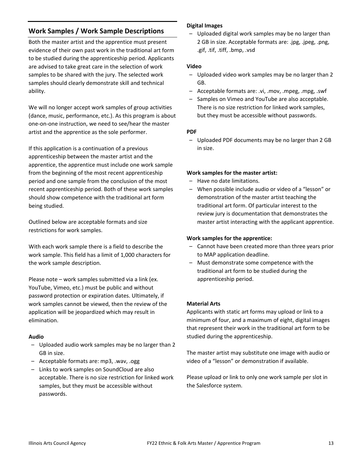# **Work Samples / Work Sample Descriptions**

Both the master artist and the apprentice must present evidence of their own past work in the traditional art form to be studied during the apprenticeship period. Applicants are advised to take great care in the selection of work samples to be shared with the jury. The selected work samples should clearly demonstrate skill and technical ability.

We will no longer accept work samples of group activities (dance, music, performance, etc.). As this program is about one-on-one instruction, we need to see/hear the master artist and the apprentice as the sole performer.

If this application is a continuation of a previous apprenticeship between the master artist and the apprentice, the apprentice must include one work sample from the beginning of the most recent apprenticeship period and one sample from the conclusion of the most recent apprenticeship period. Both of these work samples should show competence with the traditional art form being studied.

Outlined below are acceptable formats and size restrictions for work samples.

With each work sample there is a field to describe the work sample. This field has a limit of 1,000 characters for the work sample description.

Please note – work samples submitted via a link (ex. YouTube, Vimeo, etc.) must be public and without password protection or expiration dates. Ultimately, if work samples cannot be viewed, then the review of the application will be jeopardized which may result in elimination.

# **Audio**

- Uploaded audio work samples may be no larger than 2 GB in size.
- Acceptable formats are: mp3, .wav, .ogg
- Links to work samples on SoundCloud are also acceptable. There is no size restriction for linked work samples, but they must be accessible without passwords.

#### **Digital Images**

– Uploaded digital work samples may be no larger than 2 GB in size. Acceptable formats are: .jpg, .jpeg, .png, .gif, .tif, .tiff, .bmp, .vsd

#### **Video**

- Uploaded video work samples may be no larger than 2 GB.
- Acceptable formats are: .vi, .mov, .mpeg, .mpg, .swf
- Samples on Vimeo and YouTube are also acceptable. There is no size restriction for linked work samples, but they must be accessible without passwords.

#### **PDF**

– Uploaded PDF documents may be no larger than 2 GB in size.

#### **Work samples for the master artist:**

- Have no date limitations.
- When possible include audio or video of a "lesson" or demonstration of the master artist teaching the traditional art form. Of particular interest to the review jury is documentation that demonstrates the master artist interacting with the applicant apprentice.

# **Work samples for the apprentice:**

- Cannot have been created more than three years prior to MAP application deadline.
- Must demonstrate some competence with the traditional art form to be studied during the apprenticeship period.

# **Material Arts**

Applicants with static art forms may upload or link to a minimum of four, and a maximum of eight, digital images that represent their work in the traditional art form to be studied during the apprenticeship.

The master artist may substitute one image with audio or video of a "lesson" or demonstration if available.

Please upload or link to only one work sample per slot in the Salesforce system.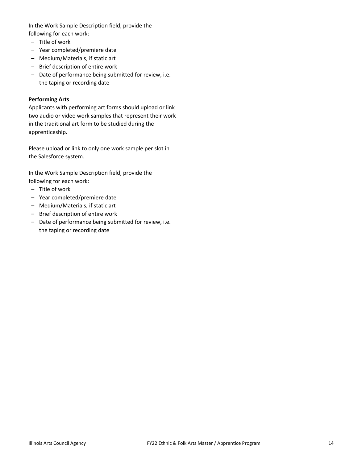In the Work Sample Description field, provide the following for each work:

- Title of work
- Year completed/premiere date
- Medium/Materials, if static art
- Brief description of entire work
- Date of performance being submitted for review, i.e. the taping or recording date

#### **Performing Arts**

Applicants with performing art forms should upload or link two audio or video work samples that represent their work in the traditional art form to be studied during the apprenticeship.

Please upload or link to only one work sample per slot in the Salesforce system.

In the Work Sample Description field, provide the following for each work:

- Title of work
- Year completed/premiere date
- Medium/Materials, if static art
- Brief description of entire work
- Date of performance being submitted for review, i.e. the taping or recording date